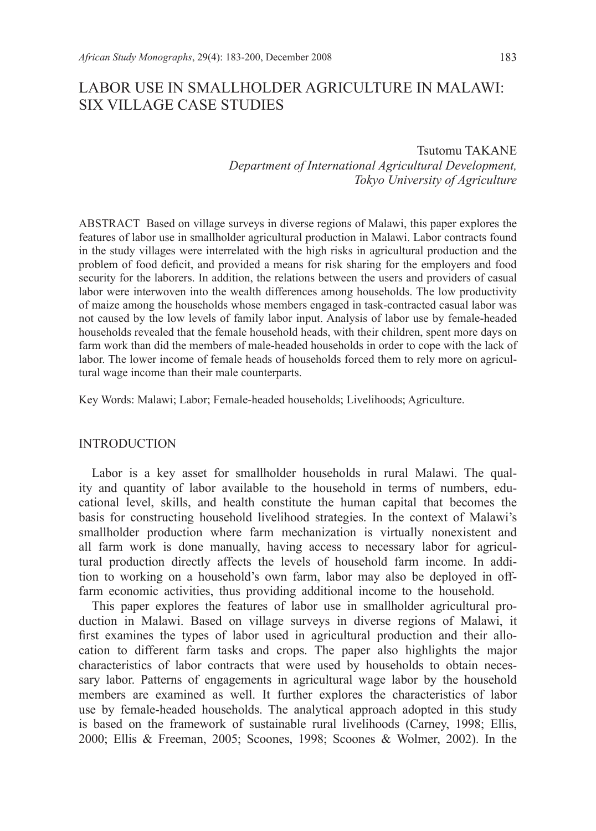# LABOR USE IN SMALLHOLDER AGRICULTURE IN MALAWI: SIX VILLAGE CASE STUDIES

## Tsutomu TAKANE *Department of International Agricultural Development, Tokyo University of Agriculture*

ABSTRACT Based on village surveys in diverse regions of Malawi, this paper explores the features of labor use in smallholder agricultural production in Malawi. Labor contracts found in the study villages were interrelated with the high risks in agricultural production and the problem of food deficit, and provided a means for risk sharing for the employers and food security for the laborers. In addition, the relations between the users and providers of casual labor were interwoven into the wealth differences among households. The low productivity of maize among the households whose members engaged in task-contracted casual labor was not caused by the low levels of family labor input. Analysis of labor use by female-headed households revealed that the female household heads, with their children, spent more days on farm work than did the members of male-headed households in order to cope with the lack of labor. The lower income of female heads of households forced them to rely more on agricultural wage income than their male counterparts.

Key Words: Malawi; Labor; Female-headed households; Livelihoods; Agriculture.

## INTRODUCTION

Labor is a key asset for smallholder households in rural Malawi. The quality and quantity of labor available to the household in terms of numbers, educational level, skills, and health constitute the human capital that becomes the basis for constructing household livelihood strategies. In the context of Malawi's smallholder production where farm mechanization is virtually nonexistent and all farm work is done manually, having access to necessary labor for agricultural production directly affects the levels of household farm income. In addition to working on a household's own farm, labor may also be deployed in offfarm economic activities, thus providing additional income to the household.

This paper explores the features of labor use in smallholder agricultural production in Malawi. Based on village surveys in diverse regions of Malawi, it first examines the types of labor used in agricultural production and their allocation to different farm tasks and crops. The paper also highlights the major characteristics of labor contracts that were used by households to obtain necessary labor. Patterns of engagements in agricultural wage labor by the household members are examined as well. It further explores the characteristics of labor use by female-headed households. The analytical approach adopted in this study is based on the framework of sustainable rural livelihoods (Carney, 1998; Ellis, 2000; Ellis & Freeman, 2005; Scoones, 1998; Scoones & Wolmer, 2002). In the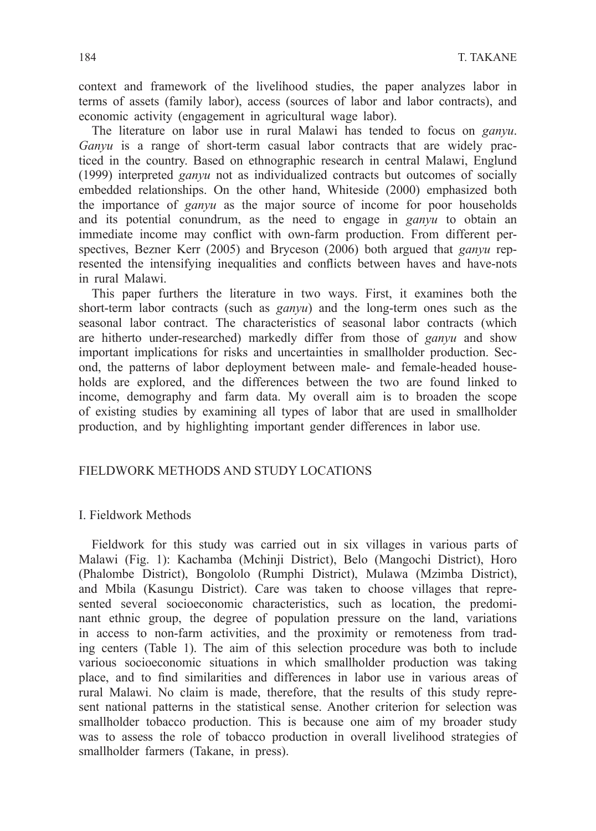context and framework of the livelihood studies, the paper analyzes labor in terms of assets (family labor), access (sources of labor and labor contracts), and economic activity (engagement in agricultural wage labor).

The literature on labor use in rural Malawi has tended to focus on *ganyu*. *Ganyu* is a range of short-term casual labor contracts that are widely practiced in the country. Based on ethnographic research in central Malawi, Englund (1999) interpreted *ganyu* not as individualized contracts but outcomes of socially embedded relationships. On the other hand, Whiteside (2000) emphasized both the importance of *ganyu* as the major source of income for poor households and its potential conundrum, as the need to engage in *ganyu* to obtain an immediate income may conflict with own-farm production. From different perspectives, Bezner Kerr (2005) and Bryceson (2006) both argued that *ganyu* represented the intensifying inequalities and conflicts between haves and have-nots in rural Malawi.

This paper furthers the literature in two ways. First, it examines both the short-term labor contracts (such as *ganyu*) and the long-term ones such as the seasonal labor contract. The characteristics of seasonal labor contracts (which are hitherto under-researched) markedly differ from those of *ganyu* and show important implications for risks and uncertainties in smallholder production. Second, the patterns of labor deployment between male- and female-headed households are explored, and the differences between the two are found linked to income, demography and farm data. My overall aim is to broaden the scope of existing studies by examining all types of labor that are used in smallholder production, and by highlighting important gender differences in labor use.

## FIELDWORK METHODS AND STUDY LOCATIONS

## I. Fieldwork Methods

Fieldwork for this study was carried out in six villages in various parts of Malawi (Fig. 1): Kachamba (Mchinji District), Belo (Mangochi District), Horo (Phalombe District), Bongololo (Rumphi District), Mulawa (Mzimba District), and Mbila (Kasungu District). Care was taken to choose villages that represented several socioeconomic characteristics, such as location, the predominant ethnic group, the degree of population pressure on the land, variations in access to non-farm activities, and the proximity or remoteness from trading centers (Table 1). The aim of this selection procedure was both to include various socioeconomic situations in which smallholder production was taking place, and to find similarities and differences in labor use in various areas of rural Malawi. No claim is made, therefore, that the results of this study represent national patterns in the statistical sense. Another criterion for selection was smallholder tobacco production. This is because one aim of my broader study was to assess the role of tobacco production in overall livelihood strategies of smallholder farmers (Takane, in press).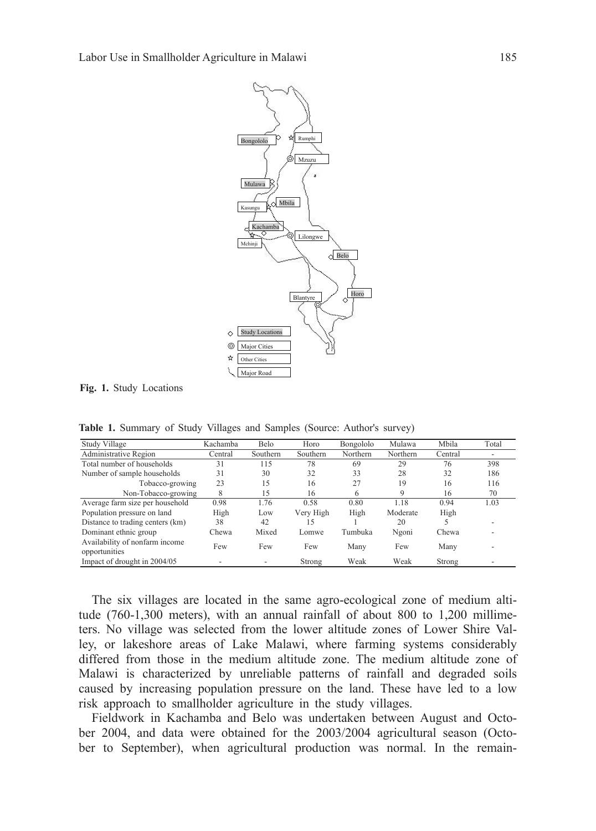

**Fig. 1.** Study Locations

Table 1. Summary of Study Villages and Samples **Table 1.** Summary of Study Villages and Samples (Source: Author's survey)

| Study Village                                   | Kachamba | Belo     | Horo      |           | Mulawa   | Mbila   | Total                    |
|-------------------------------------------------|----------|----------|-----------|-----------|----------|---------|--------------------------|
|                                                 |          |          |           | Bongololo |          |         |                          |
| Administrative Region                           | Central  | Southern | Southern  | Northern  | Northern | Central | $\overline{\phantom{a}}$ |
| Total number of households                      | 31       | 115      | 78        | 69        | 29       | 76      | 398                      |
| Number of sample households                     | 31       | 30       | 32        | 33        | 28       | 32      | 186                      |
| Tobacco-growing                                 | 23       | 15       | 16        | 27        | 19       | 16      | 116                      |
| Non-Tobacco-growing                             | 8        | 15       | 16        | 6         | 9        | 16      | 70                       |
| Average farm size per household                 | 0.98     | 1.76     | 0.58      | 0.80      | 1.18     | 0.94    | 1.03                     |
| Population pressure on land                     | High     | Low      | Very High | High      | Moderate | High    |                          |
| Distance to trading centers (km)                | 38       | 42       | 15        |           | 20       |         |                          |
| Dominant ethnic group                           | Chewa    | Mixed    | Lomwe     | Tumbuka   | Ngoni    | Chewa   |                          |
| Availability of nonfarm income<br>opportunities | Few      | Few      | Few       | Many      | Few      | Many    |                          |
| Impact of drought in 2004/05                    |          |          | Strong    | Weak      | Weak     | Strong  |                          |

The six villages are located in the same agro-ecological zone of medium altitude (760-1,300 meters), with an annual rainfall of about 800 to 1,200 millimeters. No village was selected from the lower altitude zones of Lower Shire Valley, or lakeshore areas of Lake Malawi, where farming systems considerably differed from those in the medium altitude zone. The medium altitude zone of Malawi is characterized by unreliable patterns of rainfall and degraded soils caused by increasing population pressure on the land. These have led to a low risk approach to smallholder agriculture in the study villages.

Fieldwork in Kachamba and Belo was undertaken between August and October 2004, and data were obtained for the 2003/2004 agricultural season (October to September), when agricultural production was normal. In the remain-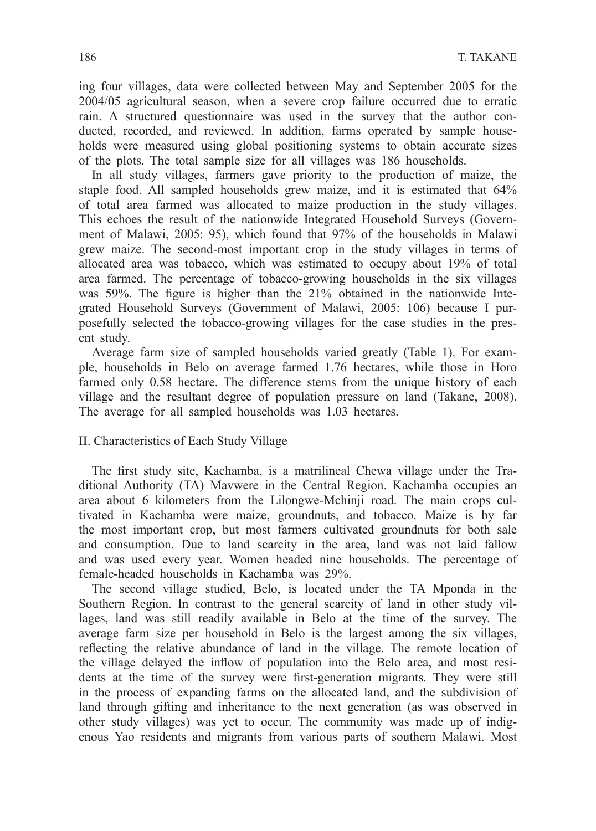ing four villages, data were collected between May and September 2005 for the 2004/05 agricultural season, when a severe crop failure occurred due to erratic rain. A structured questionnaire was used in the survey that the author conducted, recorded, and reviewed. In addition, farms operated by sample households were measured using global positioning systems to obtain accurate sizes of the plots. The total sample size for all villages was 186 households.

In all study villages, farmers gave priority to the production of maize, the staple food. All sampled households grew maize, and it is estimated that 64% of total area farmed was allocated to maize production in the study villages. This echoes the result of the nationwide Integrated Household Surveys (Government of Malawi, 2005: 95), which found that 97% of the households in Malawi grew maize. The second-most important crop in the study villages in terms of allocated area was tobacco, which was estimated to occupy about 19% of total area farmed. The percentage of tobacco-growing households in the six villages was 59%. The figure is higher than the 21% obtained in the nationwide Integrated Household Surveys (Government of Malawi, 2005: 106) because I purposefully selected the tobacco-growing villages for the case studies in the present study.

Average farm size of sampled households varied greatly (Table 1). For example, households in Belo on average farmed 1.76 hectares, while those in Horo farmed only 0.58 hectare. The difference stems from the unique history of each village and the resultant degree of population pressure on land (Takane, 2008). The average for all sampled households was 1.03 hectares.

## II. Characteristics of Each Study Village

The first study site, Kachamba, is a matrilineal Chewa village under the Traditional Authority (TA) Mavwere in the Central Region. Kachamba occupies an area about 6 kilometers from the Lilongwe-Mchinji road. The main crops cultivated in Kachamba were maize, groundnuts, and tobacco. Maize is by far the most important crop, but most farmers cultivated groundnuts for both sale and consumption. Due to land scarcity in the area, land was not laid fallow and was used every year. Women headed nine households. The percentage of female-headed households in Kachamba was 29%.

The second village studied, Belo, is located under the TA Mponda in the Southern Region. In contrast to the general scarcity of land in other study villages, land was still readily available in Belo at the time of the survey. The average farm size per household in Belo is the largest among the six villages, reflecting the relative abundance of land in the village. The remote location of the village delayed the inflow of population into the Belo area, and most residents at the time of the survey were first-generation migrants. They were still in the process of expanding farms on the allocated land, and the subdivision of land through gifting and inheritance to the next generation (as was observed in other study villages) was yet to occur. The community was made up of indigenous Yao residents and migrants from various parts of southern Malawi. Most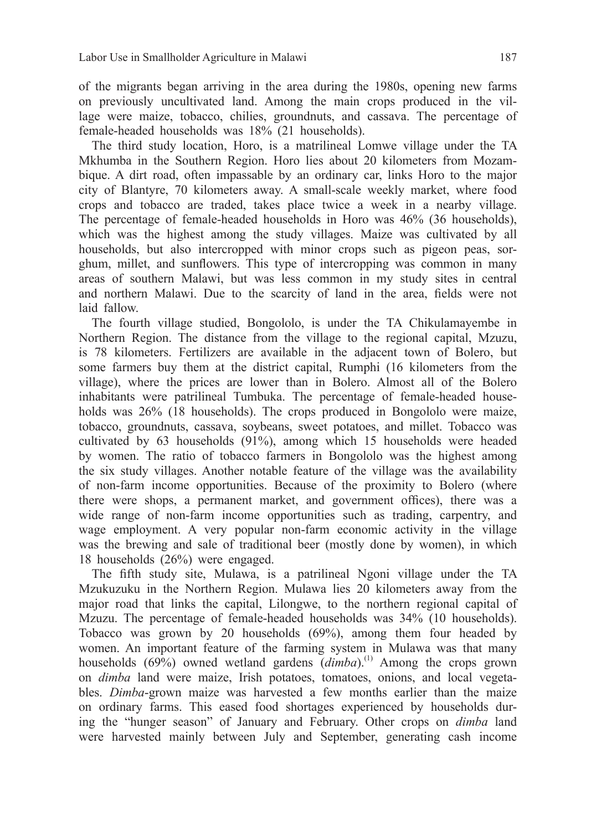of the migrants began arriving in the area during the 1980s, opening new farms on previously uncultivated land. Among the main crops produced in the village were maize, tobacco, chilies, groundnuts, and cassava. The percentage of female-headed households was 18% (21 households).

The third study location, Horo, is a matrilineal Lomwe village under the TA Mkhumba in the Southern Region. Horo lies about 20 kilometers from Mozambique. A dirt road, often impassable by an ordinary car, links Horo to the major city of Blantyre, 70 kilometers away. A small-scale weekly market, where food crops and tobacco are traded, takes place twice a week in a nearby village. The percentage of female-headed households in Horo was 46% (36 households), which was the highest among the study villages. Maize was cultivated by all households, but also intercropped with minor crops such as pigeon peas, sorghum, millet, and sunflowers. This type of intercropping was common in many areas of southern Malawi, but was less common in my study sites in central and northern Malawi. Due to the scarcity of land in the area, fields were not laid fallow.

The fourth village studied, Bongololo, is under the TA Chikulamayembe in Northern Region. The distance from the village to the regional capital, Mzuzu, is 78 kilometers. Fertilizers are available in the adjacent town of Bolero, but some farmers buy them at the district capital, Rumphi (16 kilometers from the village), where the prices are lower than in Bolero. Almost all of the Bolero inhabitants were patrilineal Tumbuka. The percentage of female-headed households was 26% (18 households). The crops produced in Bongololo were maize, tobacco, groundnuts, cassava, soybeans, sweet potatoes, and millet. Tobacco was cultivated by 63 households (91%), among which 15 households were headed by women. The ratio of tobacco farmers in Bongololo was the highest among the six study villages. Another notable feature of the village was the availability of non-farm income opportunities. Because of the proximity to Bolero (where there were shops, a permanent market, and government offices), there was a wide range of non-farm income opportunities such as trading, carpentry, and wage employment. A very popular non-farm economic activity in the village was the brewing and sale of traditional beer (mostly done by women), in which 18 households (26%) were engaged.

The fifth study site, Mulawa, is a patrilineal Ngoni village under the TA Mzukuzuku in the Northern Region. Mulawa lies 20 kilometers away from the major road that links the capital, Lilongwe, to the northern regional capital of Mzuzu. The percentage of female-headed households was 34% (10 households). Tobacco was grown by 20 households (69%), among them four headed by women. An important feature of the farming system in Mulawa was that many households (69%) owned wetland gardens (*dimba*).<sup>(1)</sup> Among the crops grown on *dimba* land were maize, Irish potatoes, tomatoes, onions, and local vegetables. *Dimba*-grown maize was harvested a few months earlier than the maize on ordinary farms. This eased food shortages experienced by households during the "hunger season" of January and February. Other crops on *dimba* land were harvested mainly between July and September, generating cash income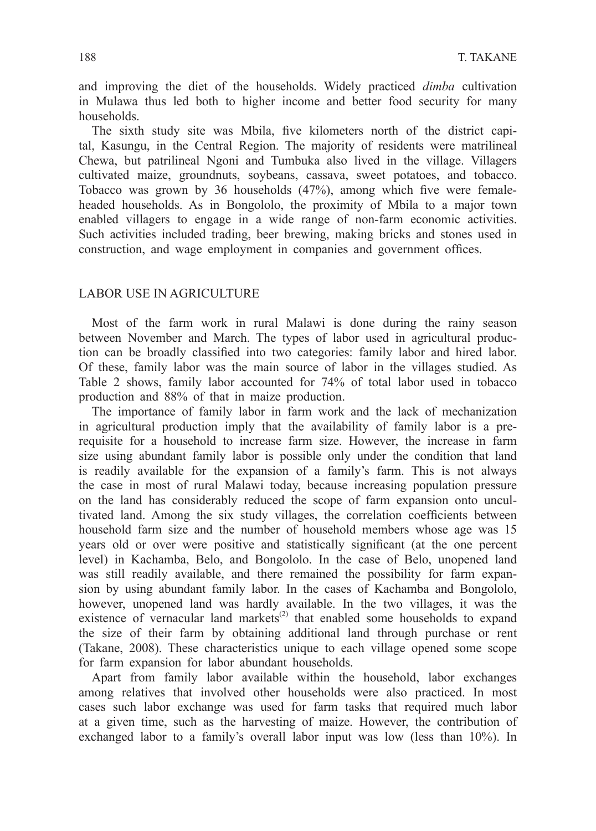and improving the diet of the households. Widely practiced *dimba* cultivation in Mulawa thus led both to higher income and better food security for many households.

The sixth study site was Mbila, five kilometers north of the district capital, Kasungu, in the Central Region. The majority of residents were matrilineal Chewa, but patrilineal Ngoni and Tumbuka also lived in the village. Villagers cultivated maize, groundnuts, soybeans, cassava, sweet potatoes, and tobacco. Tobacco was grown by 36 households (47%), among which five were femaleheaded households. As in Bongololo, the proximity of Mbila to a major town enabled villagers to engage in a wide range of non-farm economic activities. Such activities included trading, beer brewing, making bricks and stones used in construction, and wage employment in companies and government offices.

## LABOR USE IN AGRICULTURE

Most of the farm work in rural Malawi is done during the rainy season between November and March. The types of labor used in agricultural production can be broadly classified into two categories: family labor and hired labor. Of these, family labor was the main source of labor in the villages studied. As Table 2 shows, family labor accounted for 74% of total labor used in tobacco production and 88% of that in maize production.

The importance of family labor in farm work and the lack of mechanization in agricultural production imply that the availability of family labor is a prerequisite for a household to increase farm size. However, the increase in farm size using abundant family labor is possible only under the condition that land is readily available for the expansion of a family's farm. This is not always the case in most of rural Malawi today, because increasing population pressure on the land has considerably reduced the scope of farm expansion onto uncultivated land. Among the six study villages, the correlation coefficients between household farm size and the number of household members whose age was 15 years old or over were positive and statistically significant (at the one percent level) in Kachamba, Belo, and Bongololo. In the case of Belo, unopened land was still readily available, and there remained the possibility for farm expansion by using abundant family labor. In the cases of Kachamba and Bongololo, however, unopened land was hardly available. In the two villages, it was the existence of vernacular land markets<sup>(2)</sup> that enabled some households to expand the size of their farm by obtaining additional land through purchase or rent (Takane, 2008). These characteristics unique to each village opened some scope for farm expansion for labor abundant households.

Apart from family labor available within the household, labor exchanges among relatives that involved other households were also practiced. In most cases such labor exchange was used for farm tasks that required much labor at a given time, such as the harvesting of maize. However, the contribution of exchanged labor to a family's overall labor input was low (less than 10%). In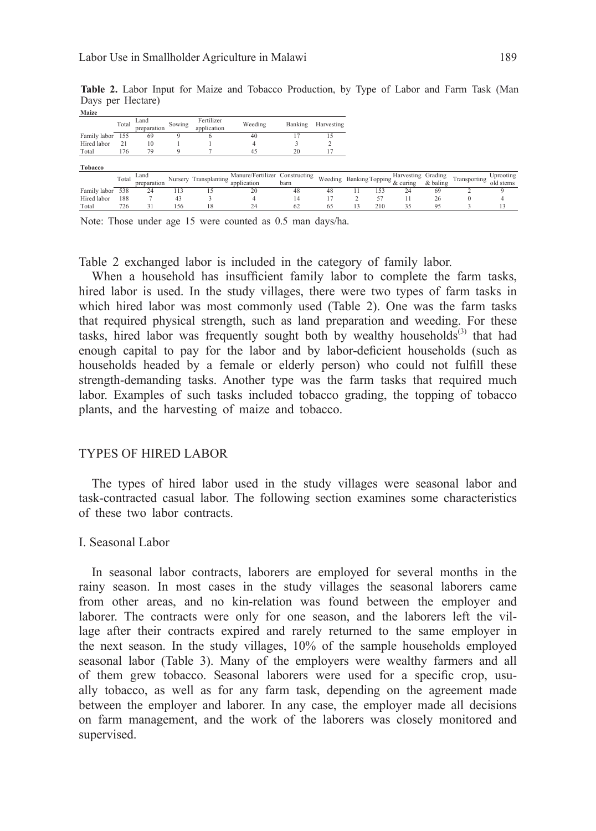Days per Hectare) **Table 2.** Labor Input for Maize and Tobacco Production, by Type of Labor and Farm Task (Man

Total 726 31 156 18 24 62 65 13 210 35 95 3 13

| Maize        |       |             |        |                       |                                |         |            |     |                                     |            |              |        |
|--------------|-------|-------------|--------|-----------------------|--------------------------------|---------|------------|-----|-------------------------------------|------------|--------------|--------|
|              | Total | <b>Land</b> | Sowing | Fertilizer            | Weeding                        | Banking | Harvesting |     |                                     |            |              |        |
|              |       | preparation |        | application           |                                |         |            |     |                                     |            |              |        |
| Family labor | 155   | 69          |        |                       | 40                             |         | ı5         |     |                                     |            |              |        |
| Hired labor  | 21    | 10          |        |                       |                                |         |            |     |                                     |            |              |        |
| Total        | 176   | 79          |        |                       | 45                             | 20      |            |     |                                     |            |              |        |
|              |       |             |        |                       |                                |         |            |     |                                     |            |              |        |
| Tobacco      |       |             |        |                       |                                |         |            |     |                                     |            |              |        |
|              | Total | Land        |        |                       | Manure/Fertilizer Constructing |         |            |     | Harvesting Grading                  |            |              | Upro   |
|              |       | preparation |        | Nursery Transplanting | application                    | barn    |            |     | Weeding Banking Topping the Country | $&$ baling | Transporting | old st |
| Family labor | 538   | 24          | 113    | 15                    | 20                             | 48      | 48         | 153 | 24                                  | 69         |              | 9      |
|              |       |             |        |                       |                                |         |            |     |                                     |            |              |        |

㪥㫆㫋㪼㪑㩷㪫㪿㫆㫊㪼㩷㫌㫅㪻㪼㫉㩷㪸㪾㪼㩷㪈㪌㩷㫎㪼㫉㪼㩷㪺㫆㫌㫅㫋㪼㪻㩷㪸㫊㩷㪇㪅㪌㩷㫄㪸㫅㩷㪻㪸㫐㫊㪆㪿㪸㪅㩷 Note: Those under age 15 were counted as 0.5 man days/ha.

Table 2 exchanged labor is included in the category of family labor.

When a household has insufficient family labor to complete the farm tasks, hired labor is used. In the study villages, there were two types of farm tasks in which hired labor was most commonly used (Table 2). One was the farm tasks that required physical strength, such as land preparation and weeding. For these tasks, hired labor was frequently sought both by wealthy households<sup>(3)</sup> that had enough capital to pay for the labor and by labor-deficient households (such as households headed by a female or elderly person) who could not fulfill these strength-demanding tasks. Another type was the farm tasks that required much labor. Examples of such tasks included tobacco grading, the topping of tobacco plants, and the harvesting of maize and tobacco.

#### TYPES OF HIRED LABOR

The types of hired labor used in the study villages were seasonal labor and task-contracted casual labor. The following section examines some characteristics of these two labor contracts.

#### I. Seasonal Labor

In seasonal labor contracts, laborers are employed for several months in the rainy season. In most cases in the study villages the seasonal laborers came from other areas, and no kin-relation was found between the employer and laborer. The contracts were only for one season, and the laborers left the village after their contracts expired and rarely returned to the same employer in the next season. In the study villages, 10% of the sample households employed seasonal labor (Table 3). Many of the employers were wealthy farmers and all of them grew tobacco. Seasonal laborers were used for a specific crop, usually tobacco, as well as for any farm task, depending on the agreement made between the employer and laborer. In any case, the employer made all decisions on farm management, and the work of the laborers was closely monitored and supervised.

Transporting Uprooting old stems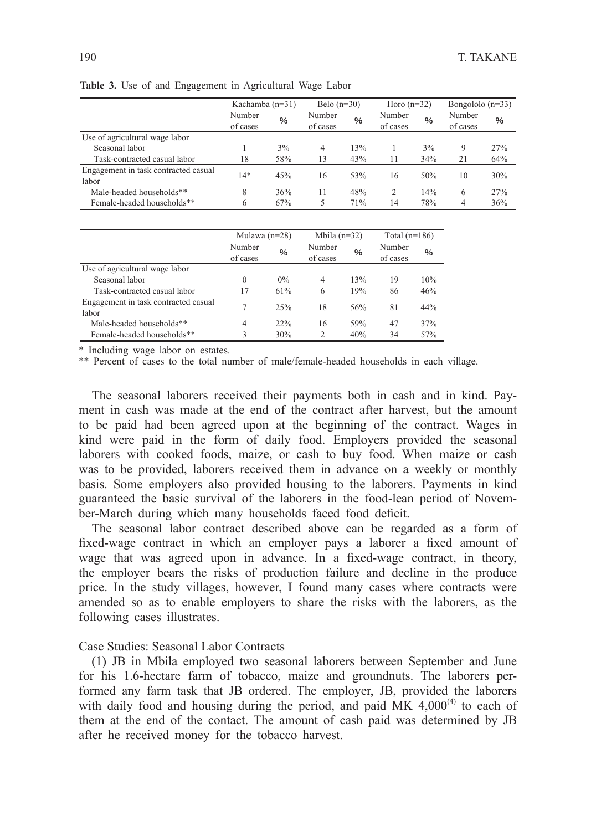|                                               | Kachamba $(n=31)$  |               | Belo $(n=30)$      |               |                    | Horo $(n=32)$ |                    | Bongololo $(n=33)$ |  |
|-----------------------------------------------|--------------------|---------------|--------------------|---------------|--------------------|---------------|--------------------|--------------------|--|
|                                               | Number<br>of cases | $\frac{0}{0}$ | Number<br>of cases | $\frac{0}{0}$ | Number<br>of cases | $\%$          | Number<br>of cases | $\frac{0}{0}$      |  |
| Use of agricultural wage labor                |                    |               |                    |               |                    |               |                    |                    |  |
| Seasonal labor                                |                    | 3%            | 4                  | 13%           |                    | $3\%$         | 9                  | 27%                |  |
| Task-contracted casual labor                  | 18                 | 58%           | 13                 | 43%           | 11                 | 34%           | 21                 | 64%                |  |
| Engagement in task contracted casual<br>labor | $14*$              | 45%           | 16                 | 53%           | 16                 | 50%           | 10                 | 30%                |  |
| Male-headed households**                      | 8                  | 36%           | 11                 | 48%           | 2                  | 14%           | 6                  | 27%                |  |
| Female-headed households**                    | 6                  | 67%           | 5                  | 71%           | 14                 | 78%           | 4                  | 36%                |  |

Table 3: Use of and Engagement in Agricultural Wage Labor **Table 3.** Use of and Engagement in Agricultural Wage Labor

|                                               | Mulawa $(n=28)$    |                                     | Mbila $(n=32)$ |      | Total $(n=186)$    |      |
|-----------------------------------------------|--------------------|-------------------------------------|----------------|------|--------------------|------|
|                                               | Number<br>of cases | Number<br>$\frac{0}{0}$<br>of cases |                | $\%$ | Number<br>of cases | $\%$ |
| Use of agricultural wage labor                |                    |                                     |                |      |                    |      |
| Seasonal labor                                | $\Omega$           | $0\%$                               | $\overline{4}$ | 13%  | 19                 | 10%  |
| Task-contracted casual labor                  | 17                 | 61%                                 | 6              | 19%  | 86                 | 46%  |
| Engagement in task contracted casual<br>labor | 7                  | 25%                                 | 18             | 56%  | 81                 | 44%  |
| Male-headed households**                      | 4                  | 22%                                 | 16             | 59%  | 47                 | 37%  |
| Female-headed households**                    | 3                  | 30%                                 | $\overline{c}$ | 40%  | 34                 | 57%  |

\* Including wage labor on estates.

\*\* Percent of cases to the total number of male/female-headed households in each village.

The seasonal laborers received their payments both in cash and in kind. Payment in cash was made at the end of the contract after harvest, but the amount to be paid had been agreed upon at the beginning of the contract. Wages in kind were paid in the form of daily food. Employers provided the seasonal laborers with cooked foods, maize, or cash to buy food. When maize or cash was to be provided, laborers received them in advance on a weekly or monthly basis. Some employers also provided housing to the laborers. Payments in kind guaranteed the basic survival of the laborers in the food-lean period of November-March during which many households faced food deficit.

The seasonal labor contract described above can be regarded as a form of fixed-wage contract in which an employer pays a laborer a fixed amount of wage that was agreed upon in advance. In a fixed-wage contract, in theory, the employer bears the risks of production failure and decline in the produce price. In the study villages, however, I found many cases where contracts were amended so as to enable employers to share the risks with the laborers, as the following cases illustrates.

## Case Studies: Seasonal Labor Contracts

(1) JB in Mbila employed two seasonal laborers between September and June for his 1.6-hectare farm of tobacco, maize and groundnuts. The laborers performed any farm task that JB ordered. The employer, JB, provided the laborers with daily food and housing during the period, and paid MK  $4,000^{(4)}$  to each of them at the end of the contact. The amount of cash paid was determined by JB after he received money for the tobacco harvest.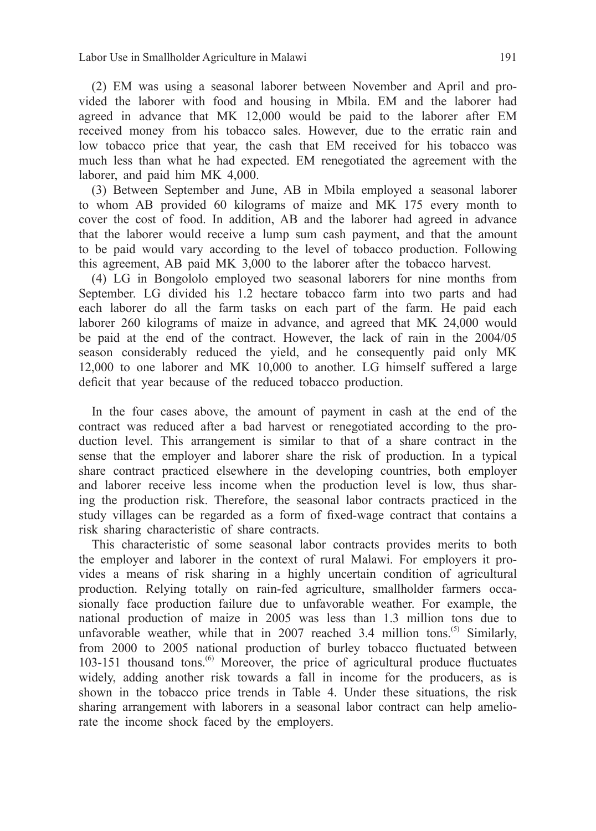(2) EM was using a seasonal laborer between November and April and provided the laborer with food and housing in Mbila. EM and the laborer had agreed in advance that MK 12,000 would be paid to the laborer after EM received money from his tobacco sales. However, due to the erratic rain and low tobacco price that year, the cash that EM received for his tobacco was much less than what he had expected. EM renegotiated the agreement with the laborer, and paid him MK 4,000.

(3) Between September and June, AB in Mbila employed a seasonal laborer to whom AB provided 60 kilograms of maize and MK 175 every month to cover the cost of food. In addition, AB and the laborer had agreed in advance that the laborer would receive a lump sum cash payment, and that the amount to be paid would vary according to the level of tobacco production. Following this agreement, AB paid MK 3,000 to the laborer after the tobacco harvest.

(4) LG in Bongololo employed two seasonal laborers for nine months from September. LG divided his 1.2 hectare tobacco farm into two parts and had each laborer do all the farm tasks on each part of the farm. He paid each laborer 260 kilograms of maize in advance, and agreed that MK 24,000 would be paid at the end of the contract. However, the lack of rain in the 2004/05 season considerably reduced the yield, and he consequently paid only MK 12,000 to one laborer and MK 10,000 to another. LG himself suffered a large deficit that year because of the reduced tobacco production.

In the four cases above, the amount of payment in cash at the end of the contract was reduced after a bad harvest or renegotiated according to the production level. This arrangement is similar to that of a share contract in the sense that the employer and laborer share the risk of production. In a typical share contract practiced elsewhere in the developing countries, both employer and laborer receive less income when the production level is low, thus sharing the production risk. Therefore, the seasonal labor contracts practiced in the study villages can be regarded as a form of fixed-wage contract that contains a risk sharing characteristic of share contracts.

This characteristic of some seasonal labor contracts provides merits to both the employer and laborer in the context of rural Malawi. For employers it provides a means of risk sharing in a highly uncertain condition of agricultural production. Relying totally on rain-fed agriculture, smallholder farmers occasionally face production failure due to unfavorable weather. For example, the national production of maize in 2005 was less than 1.3 million tons due to unfavorable weather, while that in 2007 reached 3.4 million tons.<sup>(5)</sup> Similarly, from 2000 to 2005 national production of burley tobacco fluctuated between 103-151 thousand tons. $^{(6)}$  Moreover, the price of agricultural produce fluctuates widely, adding another risk towards a fall in income for the producers, as is shown in the tobacco price trends in Table 4. Under these situations, the risk sharing arrangement with laborers in a seasonal labor contract can help ameliorate the income shock faced by the employers.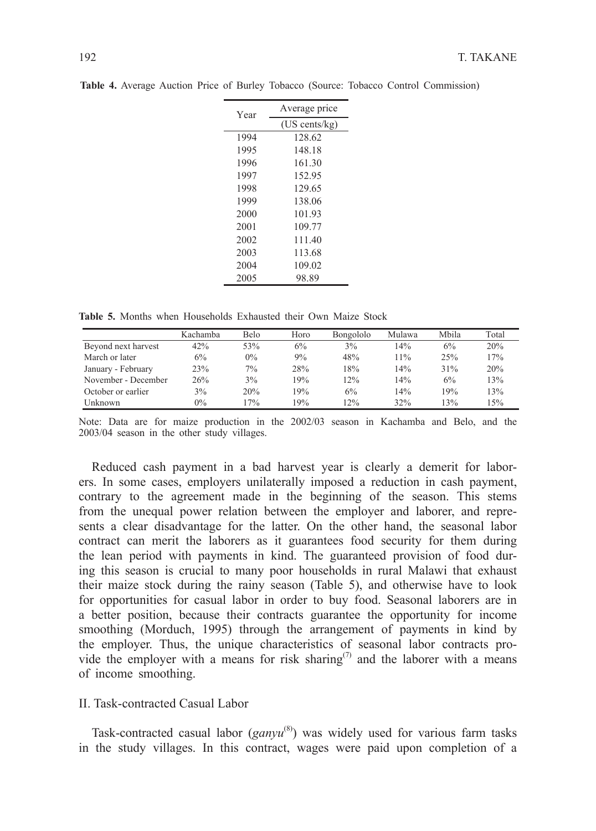| Year | Average price           |
|------|-------------------------|
|      | $(US \text{ cents/kg})$ |
| 1994 | 128.62                  |
| 1995 | 148.18                  |
| 1996 | 161.30                  |
| 1997 | 152.95                  |
| 1998 | 129.65                  |
| 1999 | 138.06                  |
| 2000 | 101.93                  |
| 2001 | 109.77                  |
| 2002 | 111.40                  |
| 2003 | 113.68                  |
| 2004 | 109.02                  |
| 2005 | 98.89                   |

**Table 4.** Average Auction Price of Burley Tobacco (Source: Tobacco Control Commission)

Table 5: Months when Households Exhausted their Own Maize Stock **Table 5.** Months when Households Exhausted their Own Maize Stock

|                     | Kachamba | Belo  | Horo  | Bongololo | Mulawa | Mbila | Total |
|---------------------|----------|-------|-------|-----------|--------|-------|-------|
| Beyond next harvest | 42%      | 53%   | $6\%$ | 3%        | 14%    | 6%    | 20%   |
| March or later      | 6%       | $0\%$ | 9%    | 48%       | 11%    | 25%   | 17%   |
| January - February  | 23%      | $7\%$ | 28%   | 18%       | 14%    | 31%   | 20%   |
| November - December | 26%      | 3%    | 19%   | 12%       | 14%    | 6%    | 13%   |
| October or earlier  | 3%       | 20%   | 19%   | 6%        | 14%    | 19%   | 13%   |
| Unknown.            | $0\%$    | 17%   | 19%   | 12%       | 32%    | 13%   | 15%   |

Note: Data are for maize production in the 2002/03 season in Kachamba and Belo, Note: Data are for maize production in the 2002/03 season in Kachamba and Belo, and the and the 2003/04 season in the other study villages. 2003/04 season in the other study villages.

Reduced cash payment in a bad harvest year is clearly a demerit for laborers. In some cases, employers unilaterally imposed a reduction in cash payment, contrary to the agreement made in the beginning of the season. This stems from the unequal power relation between the employer and laborer, and represents a clear disadvantage for the latter. On the other hand, the seasonal labor contract can merit the laborers as it guarantees food security for them during the lean period with payments in kind. The guaranteed provision of food during this season is crucial to many poor households in rural Malawi that exhaust their maize stock during the rainy season (Table 5), and otherwise have to look for opportunities for casual labor in order to buy food. Seasonal laborers are in a better position, because their contracts guarantee the opportunity for income smoothing (Morduch, 1995) through the arrangement of payments in kind by the employer. Thus, the unique characteristics of seasonal labor contracts provide the employer with a means for risk sharing<sup> $(7)$ </sup> and the laborer with a means of income smoothing.

#### II. Task-contracted Casual Labor

Task-contracted casual labor (*ganyu*<sup>(8)</sup>) was widely used for various farm tasks in the study villages. In this contract, wages were paid upon completion of a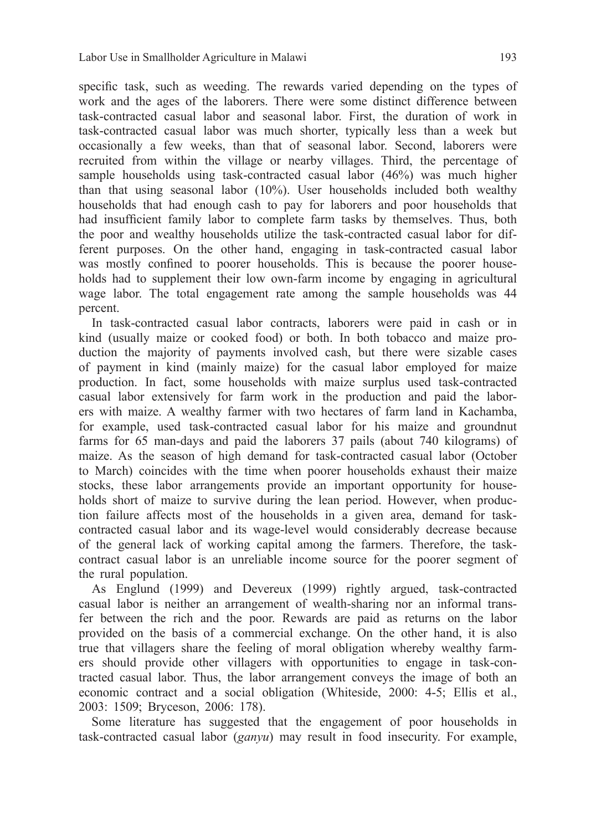specific task, such as weeding. The rewards varied depending on the types of work and the ages of the laborers. There were some distinct difference between task-contracted casual labor and seasonal labor. First, the duration of work in task-contracted casual labor was much shorter, typically less than a week but occasionally a few weeks, than that of seasonal labor. Second, laborers were recruited from within the village or nearby villages. Third, the percentage of sample households using task-contracted casual labor (46%) was much higher than that using seasonal labor (10%). User households included both wealthy households that had enough cash to pay for laborers and poor households that had insufficient family labor to complete farm tasks by themselves. Thus, both the poor and wealthy households utilize the task-contracted casual labor for different purposes. On the other hand, engaging in task-contracted casual labor was mostly confined to poorer households. This is because the poorer households had to supplement their low own-farm income by engaging in agricultural wage labor. The total engagement rate among the sample households was 44 percent.

In task-contracted casual labor contracts, laborers were paid in cash or in kind (usually maize or cooked food) or both. In both tobacco and maize production the majority of payments involved cash, but there were sizable cases of payment in kind (mainly maize) for the casual labor employed for maize production. In fact, some households with maize surplus used task-contracted casual labor extensively for farm work in the production and paid the laborers with maize. A wealthy farmer with two hectares of farm land in Kachamba, for example, used task-contracted casual labor for his maize and groundnut farms for 65 man-days and paid the laborers 37 pails (about 740 kilograms) of maize. As the season of high demand for task-contracted casual labor (October to March) coincides with the time when poorer households exhaust their maize stocks, these labor arrangements provide an important opportunity for households short of maize to survive during the lean period. However, when production failure affects most of the households in a given area, demand for taskcontracted casual labor and its wage-level would considerably decrease because of the general lack of working capital among the farmers. Therefore, the taskcontract casual labor is an unreliable income source for the poorer segment of the rural population.

As Englund (1999) and Devereux (1999) rightly argued, task-contracted casual labor is neither an arrangement of wealth-sharing nor an informal transfer between the rich and the poor. Rewards are paid as returns on the labor provided on the basis of a commercial exchange. On the other hand, it is also true that villagers share the feeling of moral obligation whereby wealthy farmers should provide other villagers with opportunities to engage in task-contracted casual labor. Thus, the labor arrangement conveys the image of both an economic contract and a social obligation (Whiteside, 2000: 4-5; Ellis et al., 2003: 1509; Bryceson, 2006: 178).

Some literature has suggested that the engagement of poor households in task-contracted casual labor (*ganyu*) may result in food insecurity. For example,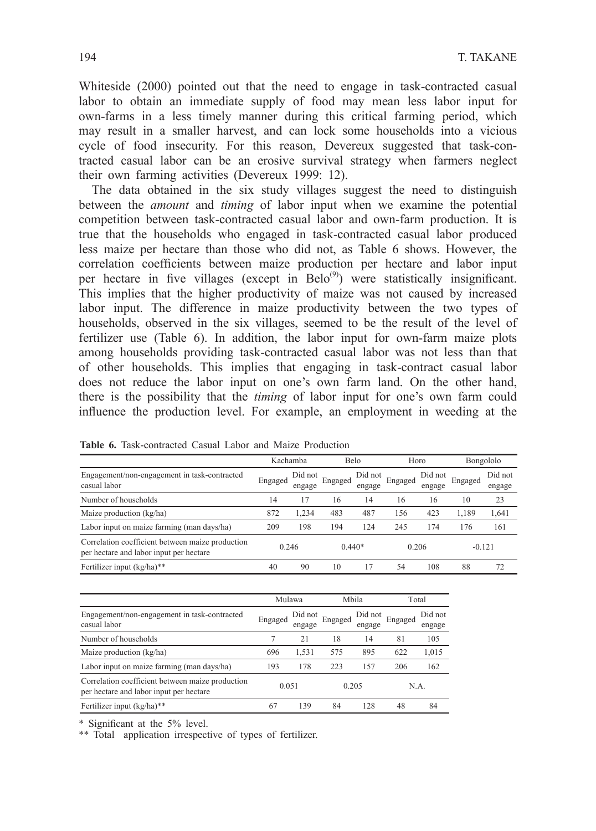Whiteside (2000) pointed out that the need to engage in task-contracted casual labor to obtain an immediate supply of food may mean less labor input for own-farms in a less timely manner during this critical farming period, which may result in a smaller harvest, and can lock some households into a vicious cycle of food insecurity. For this reason, Devereux suggested that task-contracted casual labor can be an erosive survival strategy when farmers neglect their own farming activities (Devereux 1999: 12).

The data obtained in the six study villages suggest the need to distinguish between the *amount* and *timing* of labor input when we examine the potential competition between task-contracted casual labor and own-farm production. It is true that the households who engaged in task-contracted casual labor produced less maize per hectare than those who did not, as Table 6 shows. However, the correlation coefficients between maize production per hectare and labor input per hectare in five villages (except in  $Belo^{(9)}$ ) were statistically insignificant. This implies that the higher productivity of maize was not caused by increased labor input. The difference in maize productivity between the two types of households, observed in the six villages, seemed to be the result of the level of fertilizer use (Table 6). In addition, the labor input for own-farm maize plots among households providing task-contracted casual labor was not less than that of other households. This implies that engaging in task-contract casual labor does not reduce the labor input on one's own farm land. On the other hand, there is the possibility that the *timing* of labor input for one's own farm could influence the production level. For example, an employment in weeding at the

|                                                                                             |         | Kachamba          | Belo     |                   | Horo    |                   | Bongololo |                   |
|---------------------------------------------------------------------------------------------|---------|-------------------|----------|-------------------|---------|-------------------|-----------|-------------------|
| Engagement/non-engagement in task-contracted<br>casual labor                                | Engaged | Did not<br>engage | Engaged  | Did not<br>engage | Engaged | Did not<br>engage | Engaged   | Did not<br>engage |
| Number of households                                                                        | 14      | 17                | 16       | 14                | 16      | 16                | 10        | 23                |
| Maize production (kg/ha)                                                                    | 872     | 1.234             | 483      | 487               | 156     | 423               | 1.189     | 1,641             |
| Labor input on maize farming (man days/ha)                                                  | 209     | 198               | 194      | 124               | 245     | 174               | 176       | 161               |
| Correlation coefficient between maize production<br>per hectare and labor input per hectare | 0.246   |                   | $0.440*$ |                   | 0.206   |                   | $-0.121$  |                   |
| Fertilizer input (kg/ha)**                                                                  | 40      | 90                | 10       | 17                | 54      | 108               | 88        | 72                |

**Table 6.** Task-contracted Casual Labor and Maize Production

|                                                                                             | Mulawa  |                   | Mbila   |                   | Total   |                   |
|---------------------------------------------------------------------------------------------|---------|-------------------|---------|-------------------|---------|-------------------|
| Engagement/non-engagement in task-contracted<br>casual labor                                | Engaged | Did not<br>engage | Engaged | Did not<br>engage | Engaged | Did not<br>engage |
| Number of households                                                                        |         | 21                | 18      | 14                | 81      | 105               |
| Maize production (kg/ha)                                                                    | 696     | 1.531             | 575     | 895               | 622     | 1,015             |
| Labor input on maize farming (man days/ha)                                                  | 193     | 178               | 223     | 157               | 206     | 162               |
| Correlation coefficient between maize production<br>per hectare and labor input per hectare | 0.051   |                   | 0.205   |                   | N.A.    |                   |
| Fertilizer input (kg/ha)**                                                                  | 67      | 139               | 84      | 128               | 48      | 84                |

\* Significant at the 5% level.

\*\* Total application irrespective of types of fertilizer.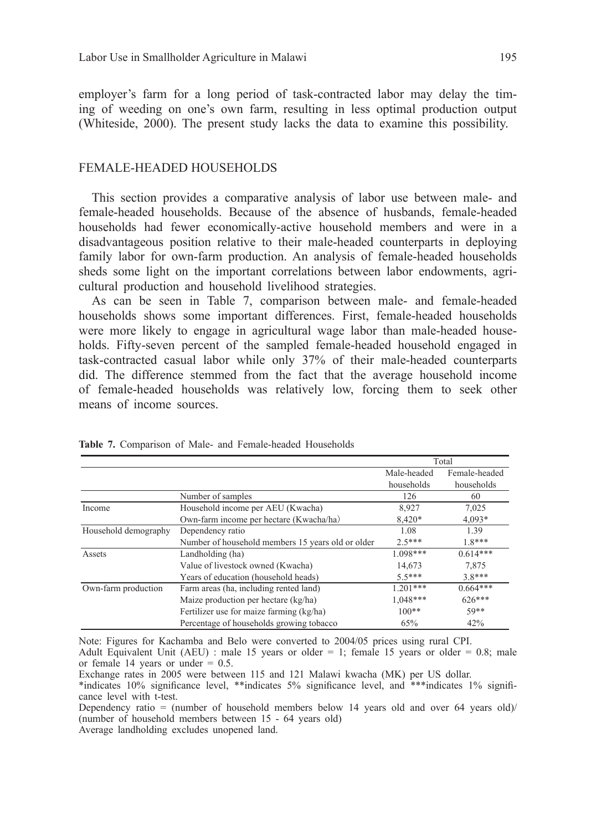employer's farm for a long period of task-contracted labor may delay the timing of weeding on one's own farm, resulting in less optimal production output (Whiteside, 2000). The present study lacks the data to examine this possibility.

#### FEMALE-HEADED HOUSEHOLDS

This section provides a comparative analysis of labor use between male- and female-headed households. Because of the absence of husbands, female-headed households had fewer economically-active household members and were in a disadvantageous position relative to their male-headed counterparts in deploying family labor for own-farm production. An analysis of female-headed households sheds some light on the important correlations between labor endowments, agricultural production and household livelihood strategies.

As can be seen in Table 7, comparison between male- and female-headed households shows some important differences. First, female-headed households were more likely to engage in agricultural wage labor than male-headed households. Fifty-seven percent of the sampled female-headed household engaged in task-contracted casual labor while only 37% of their male-headed counterparts did. The difference stemmed from the fact that the average household income of female-headed households was relatively low, forcing them to seek other means of income sources.

|                      |                                                   |             | Total         |
|----------------------|---------------------------------------------------|-------------|---------------|
|                      |                                                   | Male-headed | Female-headed |
|                      |                                                   | households  | households    |
|                      | Number of samples                                 | 126         | 60            |
| Income               | Household income per AEU (Kwacha)                 | 8,927       | 7,025         |
|                      | Own-farm income per hectare (Kwacha/ha)           | 8,420*      | 4,093*        |
| Household demography | Dependency ratio                                  | 1.08        | 1.39          |
|                      | Number of household members 15 years old or older | $2.5***$    | $18***$       |
| Assets               | Landholding (ha)                                  | $1.098***$  | $0.614***$    |
|                      | Value of livestock owned (Kwacha)                 | 14.673      | 7.875         |
|                      | Years of education (household heads)              | $55***$     | $38***$       |
| Own-farm production  | Farm areas (ha, including rented land)            | $1.201***$  | $0.664***$    |
|                      | Maize production per hectare (kg/ha)              | $1,048***$  | 626***        |
|                      | Fertilizer use for maize farming (kg/ha)          | $100**$     | $50**$        |
|                      | Percentage of households growing tobacco          | 65%         | 42%           |

Table 7. Comparison of Male- and Female-headed Households

Note: Figures for Kachamba and Belo were converted to 2004/05 prices a Adult Equivalent Unit (AEU) : male 15 years or older = 1; female 15 years or older = 0.8; male or female 14 years or under =  $0.5$ . Note: Figures for Kachamba and Belo were converted to 2004/05 prices using rural CPI. or female 14 years or under  $= 0.5$ .

Exchange rates in 2005 were between 115 and 121 Malawi kwacha (MK) per US dollar. Exchange rates in 2005 were between 115 and 121 Malawi kwacha (MK) per US dollar. \* indicates 10% significance level, \*\* indicates 5% significance level, and \*\*\* indicates 1% significance level with t-test. \*indicates 10% significance level, \*\*indicates 5% significance level, and \*\*\*indicates 1% signifi-

cance level with t-test. Dependency ratio = (number of household members below 14 years old and over 64 years old)/

<sup>(</sup>number of household members between 15 - 64 years old) Average landholding excludes unopened land.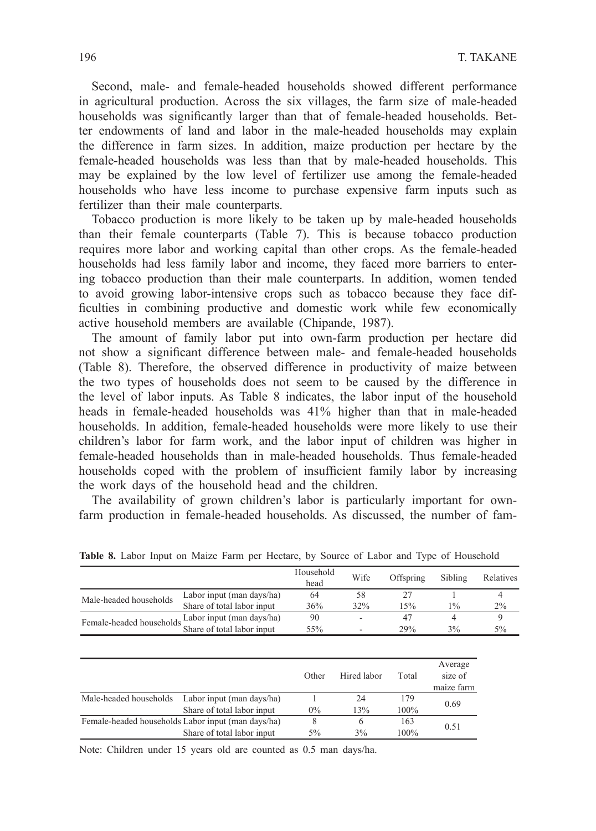Second, male- and female-headed households showed different performance in agricultural production. Across the six villages, the farm size of male-headed households was significantly larger than that of female-headed households. Better endowments of land and labor in the male-headed households may explain the difference in farm sizes. In addition, maize production per hectare by the female-headed households was less than that by male-headed households. This may be explained by the low level of fertilizer use among the female-headed households who have less income to purchase expensive farm inputs such as fertilizer than their male counterparts.

Tobacco production is more likely to be taken up by male-headed households than their female counterparts (Table 7). This is because tobacco production requires more labor and working capital than other crops. As the female-headed households had less family labor and income, they faced more barriers to entering tobacco production than their male counterparts. In addition, women tended to avoid growing labor-intensive crops such as tobacco because they face difficulties in combining productive and domestic work while few economically active household members are available (Chipande, 1987).

The amount of family labor put into own-farm production per hectare did not show a significant difference between male- and female-headed households (Table 8). Therefore, the observed difference in productivity of maize between the two types of households does not seem to be caused by the difference in the level of labor inputs. As Table 8 indicates, the labor input of the household heads in female-headed households was 41% higher than that in male-headed households. In addition, female-headed households were more likely to use their children's labor for farm work, and the labor input of children was higher in female-headed households than in male-headed households. Thus female-headed households coped with the problem of insufficient family labor by increasing the work days of the household head and the children.

The availability of grown children's labor is particularly important for ownfarm production in female-headed households. As discussed, the number of fam-

|                          |                            | Household<br>head | Wife | Offspring | Sibling | Relatives |
|--------------------------|----------------------------|-------------------|------|-----------|---------|-----------|
| Male-headed households   | Labor input (man days/ha)  | 64                | 58   |           |         |           |
|                          | Share of total labor input | 36%               | 32%  | 15%       | $1\%$   | $2\%$     |
| Female-headed households | Labor input (man days/ha)  | 90                |      | 47        |         |           |
|                          | Share of total labor input | 55%               |      | 29%       | $3\%$   | 5%        |

Table 8: Labor Input on Maize Farm per Hectare, by Source of Labor and Type of Household **Table 8.** Labor Input on Maize Farm per Hectare, by Source of Labor and Type of Household

|                                                    | Other | Hired labor | Total | Average<br>size of<br>maize farm |  |
|----------------------------------------------------|-------|-------------|-------|----------------------------------|--|
| Male-headed households Labor input (man days/ha)   |       | 24          | 179   |                                  |  |
| Share of total labor input                         | $0\%$ | 13%         | 100%  | 0.69                             |  |
| Female-headed households Labor input (man days/ha) | 8     | 6           | 163   | 0.51                             |  |
| Share of total labor input                         | $5\%$ | 3%          | 100%  |                                  |  |

Note: Children under 15 years old are counted as 0.5 man days/ha.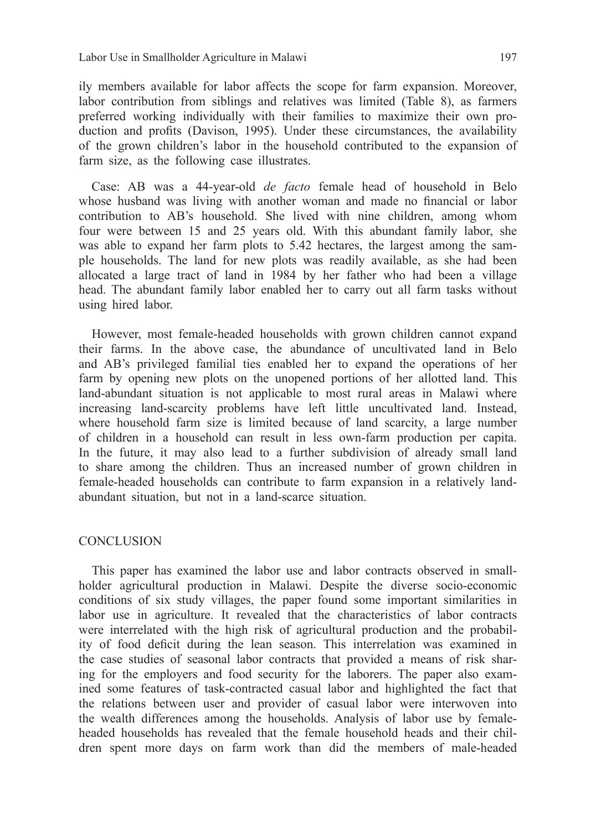ily members available for labor affects the scope for farm expansion. Moreover, labor contribution from siblings and relatives was limited (Table 8), as farmers preferred working individually with their families to maximize their own production and profits (Davison, 1995). Under these circumstances, the availability of the grown children's labor in the household contributed to the expansion of farm size, as the following case illustrates.

Case: AB was a 44-year-old *de facto* female head of household in Belo whose husband was living with another woman and made no financial or labor contribution to AB's household. She lived with nine children, among whom four were between 15 and 25 years old. With this abundant family labor, she was able to expand her farm plots to 5.42 hectares, the largest among the sample households. The land for new plots was readily available, as she had been allocated a large tract of land in 1984 by her father who had been a village head. The abundant family labor enabled her to carry out all farm tasks without using hired labor.

However, most female-headed households with grown children cannot expand their farms. In the above case, the abundance of uncultivated land in Belo and AB's privileged familial ties enabled her to expand the operations of her farm by opening new plots on the unopened portions of her allotted land. This land-abundant situation is not applicable to most rural areas in Malawi where increasing land-scarcity problems have left little uncultivated land. Instead, where household farm size is limited because of land scarcity, a large number of children in a household can result in less own-farm production per capita. In the future, it may also lead to a further subdivision of already small land to share among the children. Thus an increased number of grown children in female-headed households can contribute to farm expansion in a relatively landabundant situation, but not in a land-scarce situation.

#### CONCLUSION

This paper has examined the labor use and labor contracts observed in smallholder agricultural production in Malawi. Despite the diverse socio-economic conditions of six study villages, the paper found some important similarities in labor use in agriculture. It revealed that the characteristics of labor contracts were interrelated with the high risk of agricultural production and the probability of food deficit during the lean season. This interrelation was examined in the case studies of seasonal labor contracts that provided a means of risk sharing for the employers and food security for the laborers. The paper also examined some features of task-contracted casual labor and highlighted the fact that the relations between user and provider of casual labor were interwoven into the wealth differences among the households. Analysis of labor use by femaleheaded households has revealed that the female household heads and their children spent more days on farm work than did the members of male-headed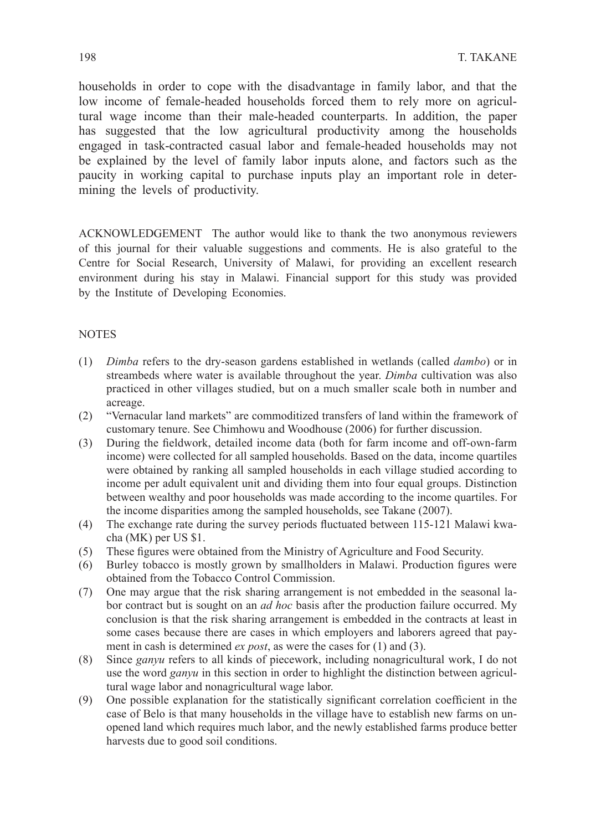households in order to cope with the disadvantage in family labor, and that the low income of female-headed households forced them to rely more on agricultural wage income than their male-headed counterparts. In addition, the paper has suggested that the low agricultural productivity among the households engaged in task-contracted casual labor and female-headed households may not be explained by the level of family labor inputs alone, and factors such as the paucity in working capital to purchase inputs play an important role in determining the levels of productivity.

ACKNOWLEDGEMENT The author would like to thank the two anonymous reviewers of this journal for their valuable suggestions and comments. He is also grateful to the Centre for Social Research, University of Malawi, for providing an excellent research environment during his stay in Malawi. Financial support for this study was provided by the Institute of Developing Economies.

### NOTES

- (1) *Dimba* refers to the dry-season gardens established in wetlands (called *dambo*) or in streambeds where water is available throughout the year. *Dimba* cultivation was also practiced in other villages studied, but on a much smaller scale both in number and acreage.
- (2) "Vernacular land markets" are commoditized transfers of land within the framework of customary tenure. See Chimhowu and Woodhouse (2006) for further discussion.
- (3) During the fieldwork, detailed income data (both for farm income and off-own-farm income) were collected for all sampled households. Based on the data, income quartiles were obtained by ranking all sampled households in each village studied according to income per adult equivalent unit and dividing them into four equal groups. Distinction between wealthy and poor households was made according to the income quartiles. For the income disparities among the sampled households, see Takane (2007).
- (4) The exchange rate during the survey periods fluctuated between 115-121 Malawi kwacha (MK) per US \$1.
- (5) These figures were obtained from the Ministry of Agriculture and Food Security.
- (6) Burley tobacco is mostly grown by smallholders in Malawi. Production figures were obtained from the Tobacco Control Commission.
- (7) One may argue that the risk sharing arrangement is not embedded in the seasonal labor contract but is sought on an *ad hoc* basis after the production failure occurred. My conclusion is that the risk sharing arrangement is embedded in the contracts at least in some cases because there are cases in which employers and laborers agreed that payment in cash is determined *ex post*, as were the cases for (1) and (3).
- (8) Since *ganyu* refers to all kinds of piecework, including nonagricultural work, I do not use the word *ganyu* in this section in order to highlight the distinction between agricultural wage labor and nonagricultural wage labor.
- (9) One possible explanation for the statistically significant correlation coefficient in the case of Belo is that many households in the village have to establish new farms on unopened land which requires much labor, and the newly established farms produce better harvests due to good soil conditions.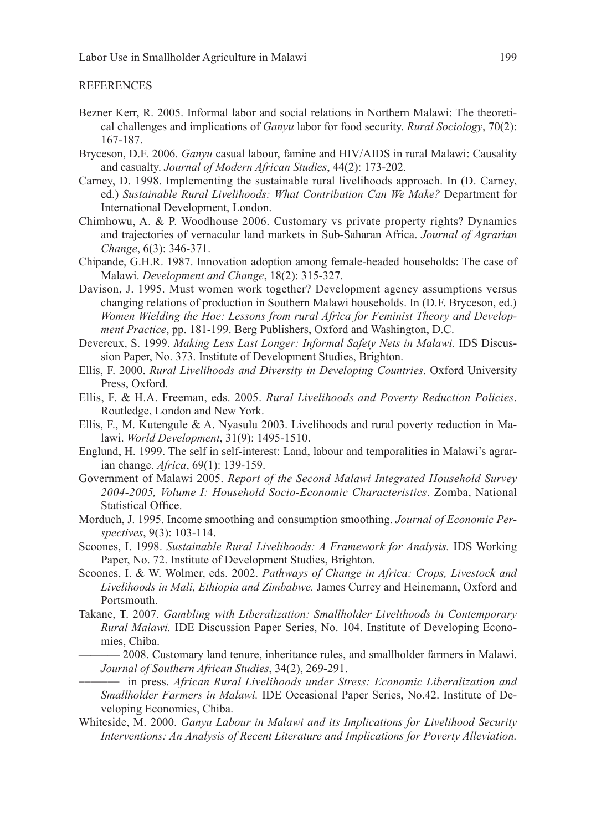#### **REFERENCES**

- Bezner Kerr, R. 2005. Informal labor and social relations in Northern Malawi: The theoretical challenges and implications of *Ganyu* labor for food security. *Rural Sociology*, 70(2): 167-187.
- Bryceson, D.F. 2006. *Ganyu* casual labour, famine and HIV/AIDS in rural Malawi: Causality and casualty. *Journal of Modern African Studies*, 44(2): 173-202.
- Carney, D. 1998. Implementing the sustainable rural livelihoods approach. In (D. Carney, ed.) *Sustainable Rural Livelihoods: What Contribution Can We Make?* Department for International Development, London.
- Chimhowu, A. & P. Woodhouse 2006. Customary vs private property rights? Dynamics and trajectories of vernacular land markets in Sub-Saharan Africa. *Journal of Agrarian Change*, 6(3): 346-371.
- Chipande, G.H.R. 1987. Innovation adoption among female-headed households: The case of Malawi. *Development and Change*, 18(2): 315-327.
- Davison, J. 1995. Must women work together? Development agency assumptions versus changing relations of production in Southern Malawi households. In (D.F. Bryceson, ed.) *Women Wielding the Hoe: Lessons from rural Africa for Feminist Theory and Development Practice*, pp. 181-199. Berg Publishers, Oxford and Washington, D.C.
- Devereux, S. 1999. *Making Less Last Longer: Informal Safety Nets in Malawi.* IDS Discussion Paper, No. 373. Institute of Development Studies, Brighton.
- Ellis, F. 2000. *Rural Livelihoods and Diversity in Developing Countries*. Oxford University Press, Oxford.
- Ellis, F. & H.A. Freeman, eds. 2005. *Rural Livelihoods and Poverty Reduction Policies*. Routledge, London and New York.
- Ellis, F., M. Kutengule & A. Nyasulu 2003. Livelihoods and rural poverty reduction in Malawi. *World Development*, 31(9): 1495-1510.
- Englund, H. 1999. The self in self-interest: Land, labour and temporalities in Malawi's agrarian change. *Africa*, 69(1): 139-159.
- Government of Malawi 2005. *Report of the Second Malawi Integrated Household Survey 2004-2005, Volume I: Household Socio-Economic Characteristics*. Zomba, National Statistical Office.
- Morduch, J. 1995. Income smoothing and consumption smoothing. *Journal of Economic Perspectives*, 9(3): 103-114.
- Scoones, I. 1998. *Sustainable Rural Livelihoods: A Framework for Analysis.* IDS Working Paper, No. 72. Institute of Development Studies, Brighton.
- Scoones, I. & W. Wolmer, eds. 2002. *Pathways of Change in Africa: Crops, Livestock and Livelihoods in Mali, Ethiopia and Zimbabwe.* James Currey and Heinemann, Oxford and Portsmouth.
- Takane, T. 2007. *Gambling with Liberalization: Smallholder Livelihoods in Contemporary Rural Malawi.* IDE Discussion Paper Series, No. 104. Institute of Developing Economies, Chiba.<br>— 2008. Customary land tenure, inheritance rules, and smallholder farmers in Malawi.
	- *Journal of Southern African Studies*, 34(2), 269-291. \_\_\_\_\_\_\_ in press. *African Rural Livelihoods under Stress: Economic Liberalization and*
	- *Smallholder Farmers in Malawi.* IDE Occasional Paper Series, No.42. Institute of Developing Economies, Chiba.
- Whiteside, M. 2000. *Ganyu Labour in Malawi and its Implications for Livelihood Security Interventions: An Analysis of Recent Literature and Implications for Poverty Alleviation.*